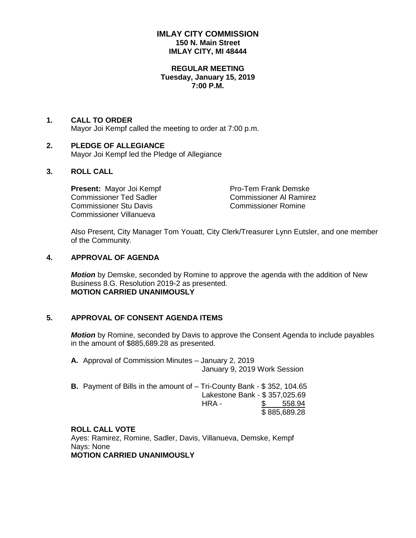## **IMLAY CITY COMMISSION 150 N. Main Street IMLAY CITY, MI 48444**

### **REGULAR MEETING Tuesday, January 15, 2019 7:00 P.M.**

### **1. CALL TO ORDER** Mayor Joi Kempf called the meeting to order at 7:00 p.m.

### **2. PLEDGE OF ALLEGIANCE** Mayor Joi Kempf led the Pledge of Allegiance

# **3. ROLL CALL**

**Present:** Mayor Joi Kempf Pro-Tem Frank Demske Commissioner Ted Sadler Commissioner Al Ramirez Commissioner Stu Davis Commissioner Romine Commissioner Villanueva

Also Present, City Manager Tom Youatt, City Clerk/Treasurer Lynn Eutsler, and one member of the Community.

## **4. APPROVAL OF AGENDA**

*Motion* by Demske, seconded by Romine to approve the agenda with the addition of New Business 8.G. Resolution 2019-2 as presented. **MOTION CARRIED UNANIMOUSLY**

## **5. APPROVAL OF CONSENT AGENDA ITEMS**

*Motion* by Romine, seconded by Davis to approve the Consent Agenda to include payables in the amount of \$885,689.28 as presented.

**A.** Approval of Commission Minutes – January 2, 2019 January 9, 2019 Work Session

| <b>B.</b> Payment of Bills in the amount of – Tri-County Bank - \$352, 104.65 |                               |              |
|-------------------------------------------------------------------------------|-------------------------------|--------------|
|                                                                               | Lakestone Bank - \$357,025.69 |              |
|                                                                               | HRA -                         | \$558.94     |
|                                                                               |                               | \$885,689.28 |

## **ROLL CALL VOTE**

Ayes: Ramirez, Romine, Sadler, Davis, Villanueva, Demske, Kempf Nays: None **MOTION CARRIED UNANIMOUSLY**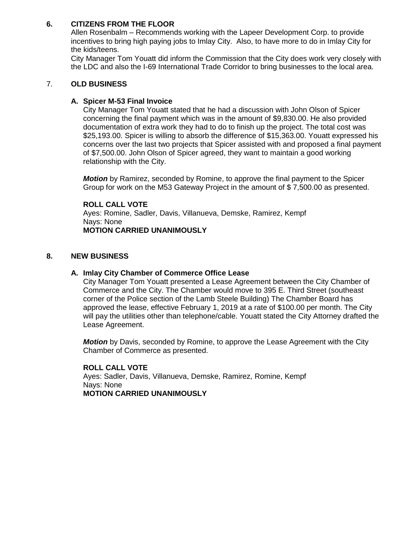# **6. CITIZENS FROM THE FLOOR**

Allen Rosenbalm – Recommends working with the Lapeer Development Corp. to provide incentives to bring high paying jobs to Imlay City. Also, to have more to do in Imlay City for the kids/teens.

City Manager Tom Youatt did inform the Commission that the City does work very closely with the LDC and also the I-69 International Trade Corridor to bring businesses to the local area.

## 7. **OLD BUSINESS**

## **A. Spicer M-53 Final Invoice**

City Manager Tom Youatt stated that he had a discussion with John Olson of Spicer concerning the final payment which was in the amount of \$9,830.00. He also provided documentation of extra work they had to do to finish up the project. The total cost was \$25,193.00. Spicer is willing to absorb the difference of \$15,363.00. Youatt expressed his concerns over the last two projects that Spicer assisted with and proposed a final payment of \$7,500.00. John Olson of Spicer agreed, they want to maintain a good working relationship with the City.

*Motion* by Ramirez, seconded by Romine, to approve the final payment to the Spicer Group for work on the M53 Gateway Project in the amount of \$ 7,500.00 as presented.

### **ROLL CALL VOTE**

Ayes: Romine, Sadler, Davis, Villanueva, Demske, Ramirez, Kempf Nays: None **MOTION CARRIED UNANIMOUSLY**

### **8. NEW BUSINESS**

### **A. Imlay City Chamber of Commerce Office Lease**

City Manager Tom Youatt presented a Lease Agreement between the City Chamber of Commerce and the City. The Chamber would move to 395 E. Third Street (southeast corner of the Police section of the Lamb Steele Building) The Chamber Board has approved the lease, effective February 1, 2019 at a rate of \$100.00 per month. The City will pay the utilities other than telephone/cable. Youatt stated the City Attorney drafted the Lease Agreement.

*Motion* by Davis, seconded by Romine, to approve the Lease Agreement with the City Chamber of Commerce as presented.

**ROLL CALL VOTE** Ayes: Sadler, Davis, Villanueva, Demske, Ramirez, Romine, Kempf Nays: None **MOTION CARRIED UNANIMOUSLY**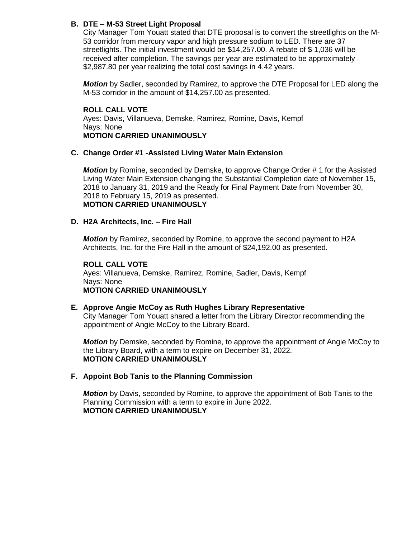# **B. DTE – M-53 Street Light Proposal**

City Manager Tom Youatt stated that DTE proposal is to convert the streetlights on the M-53 corridor from mercury vapor and high pressure sodium to LED. There are 37 streetlights. The initial investment would be \$14,257.00. A rebate of \$ 1,036 will be received after completion. The savings per year are estimated to be approximately \$2,987.80 per year realizing the total cost savings in 4.42 years.

*Motion* by Sadler, seconded by Ramirez, to approve the DTE Proposal for LED along the M-53 corridor in the amount of \$14,257.00 as presented.

**ROLL CALL VOTE** Ayes: Davis, Villanueva, Demske, Ramirez, Romine, Davis, Kempf Nays: None **MOTION CARRIED UNANIMOUSLY**

### **C. Change Order #1 -Assisted Living Water Main Extension**

*Motion* by Romine, seconded by Demske, to approve Change Order # 1 for the Assisted Living Water Main Extension changing the Substantial Completion date of November 15, 2018 to January 31, 2019 and the Ready for Final Payment Date from November 30, 2018 to February 15, 2019 as presented. **MOTION CARRIED UNANIMOUSLY**

### **D. H2A Architects, Inc. – Fire Hall**

*Motion* by Ramirez, seconded by Romine, to approve the second payment to H2A Architects, Inc. for the Fire Hall in the amount of \$24,192.00 as presented.

### **ROLL CALL VOTE**

Ayes: Villanueva, Demske, Ramirez, Romine, Sadler, Davis, Kempf Nays: None **MOTION CARRIED UNANIMOUSLY**

### **E. Approve Angie McCoy as Ruth Hughes Library Representative**

City Manager Tom Youatt shared a letter from the Library Director recommending the appointment of Angie McCoy to the Library Board.

*Motion* by Demske, seconded by Romine, to approve the appointment of Angie McCoy to the Library Board, with a term to expire on December 31, 2022. **MOTION CARRIED UNANIMOUSLY**

### **F. Appoint Bob Tanis to the Planning Commission**

*Motion* by Davis, seconded by Romine, to approve the appointment of Bob Tanis to the Planning Commission with a term to expire in June 2022. **MOTION CARRIED UNANIMOUSLY**